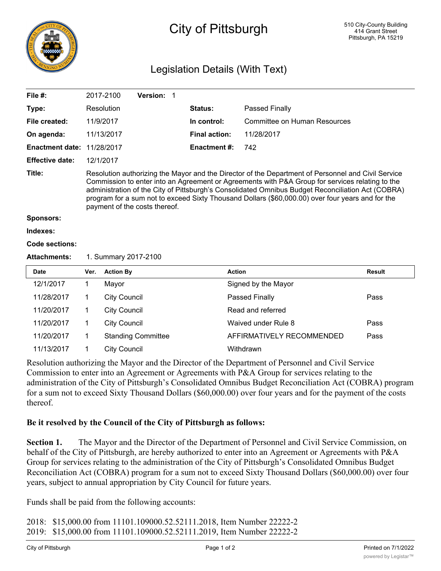

## City of Pittsburgh

## Legislation Details (With Text)

| File $#$ :             |                                                                                                                                                                                                                                                                                                                                                                                                                                                 | 2017-2100           | Version: 1                |  |                      |                              |               |
|------------------------|-------------------------------------------------------------------------------------------------------------------------------------------------------------------------------------------------------------------------------------------------------------------------------------------------------------------------------------------------------------------------------------------------------------------------------------------------|---------------------|---------------------------|--|----------------------|------------------------------|---------------|
| Type:                  |                                                                                                                                                                                                                                                                                                                                                                                                                                                 | Resolution          |                           |  | Status:              | Passed Finally               |               |
| File created:          |                                                                                                                                                                                                                                                                                                                                                                                                                                                 | 11/9/2017           |                           |  | In control:          | Committee on Human Resources |               |
| On agenda:             |                                                                                                                                                                                                                                                                                                                                                                                                                                                 | 11/13/2017          |                           |  | <b>Final action:</b> | 11/28/2017                   |               |
| <b>Enactment date:</b> |                                                                                                                                                                                                                                                                                                                                                                                                                                                 | 11/28/2017          |                           |  | <b>Enactment #:</b>  | 742                          |               |
| <b>Effective date:</b> |                                                                                                                                                                                                                                                                                                                                                                                                                                                 | 12/1/2017           |                           |  |                      |                              |               |
| Title:                 | Resolution authorizing the Mayor and the Director of the Department of Personnel and Civil Service<br>Commission to enter into an Agreement or Agreements with P&A Group for services relating to the<br>administration of the City of Pittsburgh's Consolidated Omnibus Budget Reconciliation Act (COBRA)<br>program for a sum not to exceed Sixty Thousand Dollars (\$60,000.00) over four years and for the<br>payment of the costs thereof. |                     |                           |  |                      |                              |               |
| <b>Sponsors:</b>       |                                                                                                                                                                                                                                                                                                                                                                                                                                                 |                     |                           |  |                      |                              |               |
| Indexes:               |                                                                                                                                                                                                                                                                                                                                                                                                                                                 |                     |                           |  |                      |                              |               |
| Code sections:         |                                                                                                                                                                                                                                                                                                                                                                                                                                                 |                     |                           |  |                      |                              |               |
| <b>Attachments:</b>    | 1. Summary 2017-2100                                                                                                                                                                                                                                                                                                                                                                                                                            |                     |                           |  |                      |                              |               |
| <b>Date</b>            | Ver.                                                                                                                                                                                                                                                                                                                                                                                                                                            | <b>Action By</b>    |                           |  |                      | <b>Action</b>                | <b>Result</b> |
| 12/1/2017              | 1                                                                                                                                                                                                                                                                                                                                                                                                                                               | Mayor               |                           |  |                      | Signed by the Mayor          |               |
| 11/28/2017             | 1                                                                                                                                                                                                                                                                                                                                                                                                                                               | <b>City Council</b> |                           |  |                      | Passed Finally               | Pass          |
| 11/20/2017             | 1.                                                                                                                                                                                                                                                                                                                                                                                                                                              | <b>City Council</b> |                           |  |                      | Read and referred            |               |
| 11/20/2017             | 1                                                                                                                                                                                                                                                                                                                                                                                                                                               | <b>City Council</b> |                           |  |                      | Waived under Rule 8          | Pass          |
| 11/20/2017             | 1                                                                                                                                                                                                                                                                                                                                                                                                                                               |                     | <b>Standing Committee</b> |  |                      | AFFIRMATIVELY RECOMMENDED    | Pass          |
| 11/13/2017             | 1                                                                                                                                                                                                                                                                                                                                                                                                                                               | <b>City Council</b> |                           |  |                      | Withdrawn                    |               |

Resolution authorizing the Mayor and the Director of the Department of Personnel and Civil Service Commission to enter into an Agreement or Agreements with P&A Group for services relating to the administration of the City of Pittsburgh's Consolidated Omnibus Budget Reconciliation Act (COBRA) program for a sum not to exceed Sixty Thousand Dollars (\$60,000.00) over four years and for the payment of the costs thereof.

## **Be it resolved by the Council of the City of Pittsburgh as follows:**

**Section 1.** The Mayor and the Director of the Department of Personnel and Civil Service Commission, on behalf of the City of Pittsburgh, are hereby authorized to enter into an Agreement or Agreements with P&A Group for services relating to the administration of the City of Pittsburgh's Consolidated Omnibus Budget Reconciliation Act (COBRA) program for a sum not to exceed Sixty Thousand Dollars (\$60,000.00) over four years, subject to annual appropriation by City Council for future years.

Funds shall be paid from the following accounts:

2018: \$15,000.00 from 11101.109000.52.52111.2018, Item Number 22222-2 2019: \$15,000.00 from 11101.109000.52.52111.2019, Item Number 22222-2